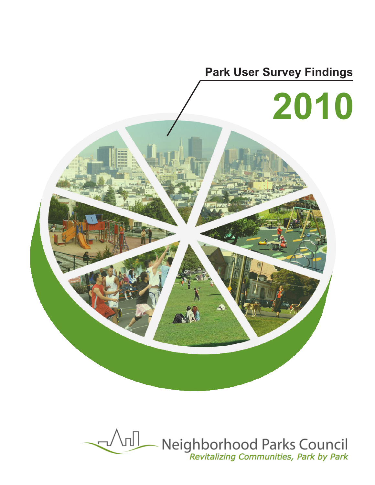

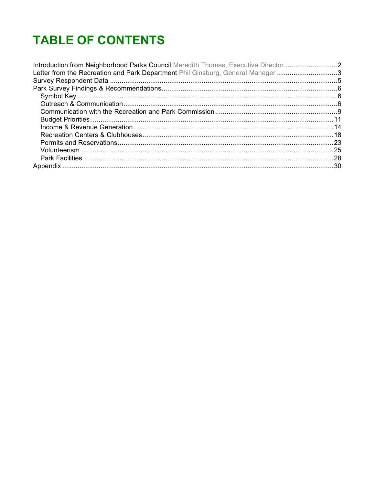# **TABLE OF CONTENTS**

| Introduction from Neighborhood Parks Council Meredith Thomas, Executive Director2 |  |
|-----------------------------------------------------------------------------------|--|
| Letter from the Recreation and Park Department Phil Ginsburg, General Manager3    |  |
|                                                                                   |  |
|                                                                                   |  |
|                                                                                   |  |
|                                                                                   |  |
|                                                                                   |  |
|                                                                                   |  |
|                                                                                   |  |
|                                                                                   |  |
|                                                                                   |  |
|                                                                                   |  |
|                                                                                   |  |
|                                                                                   |  |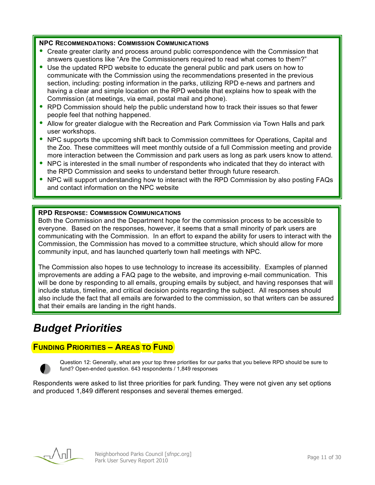#### **NPC RECOMMENDATIONS: COMMISSION COMMUNICATIONS**

- Create greater clarity and process around public correspondence with the Commission that answers questions like "Are the Commissioners required to read what comes to them?"
- Use the updated RPD website to educate the general public and park users on how to communicate with the Commission using the recommendations presented in the previous section, including: posting information in the parks, utilizing RPD e-news and partners and having a clear and simple location on the RPD website that explains how to speak with the Commission (at meetings, via email, postal mail and phone).
- RPD Commission should help the public understand how to track their issues so that fewer people feel that nothing happened.
- Allow for greater dialogue with the Recreation and Park Commission via Town Halls and park user workshops.
- NPC supports the upcoming shift back to Commission committees for Operations, Capital and the Zoo. These committees will meet monthly outside of a full Commission meeting and provide more interaction between the Commission and park users as long as park users know to attend.
- NPC is interested in the small number of respondents who indicated that they do interact with the RPD Commission and seeks to understand better through future research.
- NPC will support understanding how to interact with the RPD Commission by also posting FAQs and contact information on the NPC website

#### **RPD RESPONSE: COMMISSION COMMUNICATIONS**

Both the Commission and the Department hope for the commission process to be accessible to everyone. Based on the responses, however, it seems that a small minority of park users are communicating with the Commission. In an effort to expand the ability for users to interact with the Commission, the Commission has moved to a committee structure, which should allow for more community input, and has launched quarterly town hall meetings with NPC.

The Commission also hopes to use technology to increase its accessibility. Examples of planned improvements are adding a FAQ page to the website, and improving e-mail communication. This will be done by responding to all emails, grouping emails by subject, and having responses that will include status, timeline, and critical decision points regarding the subject. All responses should also include the fact that all emails are forwarded to the commission, so that writers can be assured that their emails are landing in the right hands.

# *Budget Priorities*

#### **FUNDING PRIORITIES – AREAS TO FUND**



Question 12: Generally, what are your top three priorities for our parks that you believe RPD should be sure to fund? Open-ended question. 643 respondents / 1,849 responses

Respondents were asked to list three priorities for park funding. They were not given any set options and produced 1,849 different responses and several themes emerged.

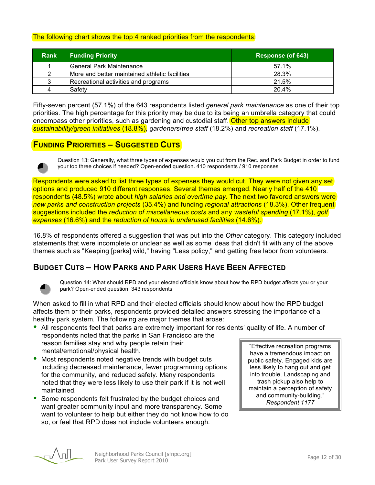#### The following chart shows the top 4 ranked priorities from the respondents:

| <b>Rank</b> | <b>Funding Priority</b>                        | Response (of 643) |
|-------------|------------------------------------------------|-------------------|
|             | <b>General Park Maintenance</b>                | 57.1%             |
|             | More and better maintained athletic facilities | 28.3%             |
| 3           | Recreational activities and programs           | 21.5%             |
|             | Safety                                         | 20.4%             |

Fifty-seven percent (57.1%) of the 643 respondents listed *general park maintenance* as one of their top priorities. The high percentage for this priority may be due to its being an umbrella category that could encompass other priorities, such as gardening and custodial staff. Other top answers include *sustainability/green initiatives* (18.8%), *gardeners*/*tree staff* (18.2%) and *recreation staff* (17.1%).

### **FUNDING PRIORITIES – SUGGESTED CUTS**



Question 13: Generally, what three types of expenses would you cut from the Rec. and Park Budget in order to fund your top three choices if needed? Open-ended question. 410 respondents / 910 responses

Respondents were asked to list three types of expenses they would cut. They were not given any set options and produced 910 different responses. Several themes emerged. Nearly half of the 410 respondents (48.5%) wrote about *high salaries and overtime pay*. The next two favored answers were *new parks and construction projects* (35.4%) and funding *regional attractions* (18.3%). Other frequent suggestions included the *reduction of miscellaneous costs* and any *wasteful spending* (17.1%), *golf expenses* (16.6%) and the *reduction of hours in underused facilities* (14.6%).

16.8% of respondents offered a suggestion that was put into the *Other* category. This category included statements that were incomplete or unclear as well as some ideas that didn't fit with any of the above themes such as "Keeping [parks] wild," having "Less policy," and getting free labor from volunteers.

## **BUDGET CUTS – HOW PARKS AND PARK USERS HAVE BEEN AFFECTED**



Question 14: What should RPD and your elected officials know about how the RPD budget affects you or your park? Open-ended question. 343 respondents

When asked to fill in what RPD and their elected officials should know about how the RPD budget affects them or their parks, respondents provided detailed answers stressing the importance of a healthy park system. The following are major themes that arose:

- All respondents feel that parks are extremely important for residents' quality of life. A number of respondents noted that the parks in San Francisco are the reason families stay and why people retain their mental/emotional/physical health.
- Most respondents noted negative trends with budget cuts including decreased maintenance, fewer programming options for the community, and reduced safety. Many respondents noted that they were less likely to use their park if it is not well maintained.
- Some respondents felt frustrated by the budget choices and want greater community input and more transparency. Some want to volunteer to help but either they do not know how to do so, or feel that RPD does not include volunteers enough.

"Effective recreation programs have a tremendous impact on public safety. Engaged kids are less likely to hang out and get into trouble. Landscaping and trash pickup also help to maintain a perception of safety and community-building." *Respondent 1177*

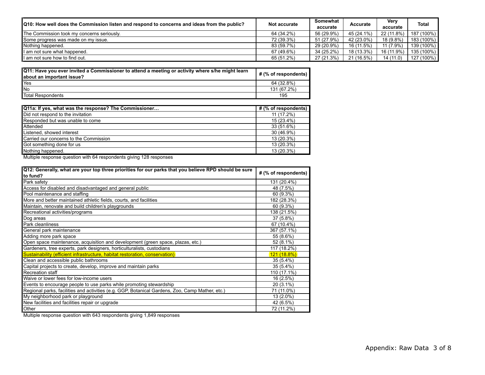| [Q10: How well does the Commission listen and respond to concerns and ideas from the public? | Not accurate | Somewhat<br>accurate | Accurate   | Verv<br>accurate | <b>Total</b> |
|----------------------------------------------------------------------------------------------|--------------|----------------------|------------|------------------|--------------|
| The Commission took my concerns seriously.                                                   | 64 (34.2%)   | 56 (29.9%)           | 45 (24.1%) | 22 (11.8%)       | 187 (100%)   |
| Some progress was made on my issue.                                                          | 72 (39.3%)   | 51 (27.9%)           | 42 (23.0%) | 18 (9.8%)        | 183 (100%)   |
| Nothing happened.                                                                            | 83 (59.7%)   | 29 (20.9%)           | 16 (11.5%) | 11 (7.9%)        | 139 (100%)   |
| I am not sure what happened.                                                                 | 67 (49.6%)   | 34 (25.2%)           | 18 (13.3%) | 16 (11.9%)       | 135 (100%)   |
| I am not sure how to find out.                                                               | 65 (51.2%)   | 27 (21.3%)           | 21 (16.5%) | 14 (11.0)        | 127 (100%)   |

| Q11: Have you ever invited a Commissioner to attend a meeting or activity where s/he might learn<br>about an important issue? | # (% of respondents) |
|-------------------------------------------------------------------------------------------------------------------------------|----------------------|
| Yes                                                                                                                           | 64 (32.8%)           |
| <b>INo</b>                                                                                                                    | 131 (67.2%)          |
| Total Respondents                                                                                                             | 195                  |

| Q11a: If yes, what was the response? The Commissioner | # (% of respondents) |
|-------------------------------------------------------|----------------------|
| Did not respond to the invitation                     | 11 (17.2%)           |
| Responded but was unable to come                      | 15 (23.4%)           |
| Attended                                              | 33 (51.6%)           |
| Listened, showed interest                             | 30 (46.9%)           |
| Carried our concerns to the Commission                | 13 (20.3%)           |
| Got something done for us                             | 13 (20.3%)           |
| Nothing happened.                                     | 13 (20.3%)           |

Multiple response question with 64 respondents giving 128 responses

| Q12: Generally, what are your top three priorities for our parks that you believe RPD should be sure |                      |
|------------------------------------------------------------------------------------------------------|----------------------|
| to fund?                                                                                             | # (% of respondents) |
| Park safety                                                                                          | 131 (20.4%)          |
| Access for disabled and disadvantaged and general public                                             | 48 (7.5%)            |
| Pool maintenance and staffing                                                                        | 60 (9.3%)            |
| More and better maintained athletic fields, courts, and facilities                                   | 182 (28.3%)          |
| Maintain, renovate and build children's playgrounds                                                  | 60 (9.3%)            |
| Recreational activities/programs                                                                     | 138 (21.5%)          |
| Dog areas                                                                                            | 37 (5.8%)            |
| Park cleanliness                                                                                     | 67 (10.4%)           |
| General park maintenance                                                                             | 367 (57.1%)          |
| Adding more park space                                                                               | 55 (8.6%)            |
| Open space maintenance, acquisition and development (green space, plazas, etc.)                      | 52 (8.1%)            |
| Gardeners, tree experts, park designers, horticulturalists, custodians                               | 117 (18.2%)          |
| Sustainability (efficient infrastructure, habitat restoration, conservation)                         | <u>121 (18.8%)</u>   |
| Clean and accessible public bathrooms                                                                | 35 (5.4%)            |
| Capital projects to create, develop, improve and maintain parks                                      | 35 (5.4%)            |
| Recreation staff                                                                                     | 110 (17.1%)          |
| Waive or lower fees for low-income users                                                             | 16 (2.5%)            |
| Events to encourage people to use parks while promoting stewardship                                  | 20 (3.1%)            |
| Regional parks, facilities and activities (e.g. GGP, Botanical Gardens, Zoo, Camp Mather, etc.)      | 71 (11.0%)           |
| My neighborhood park or playground                                                                   | 13 (2.0%)            |
| New facilities and facilities repair or upgrade                                                      | 42 (6.5%)            |
| Other                                                                                                | 72 (11.2%)           |

Multiple response question with 643 respondents giving 1,849 responses